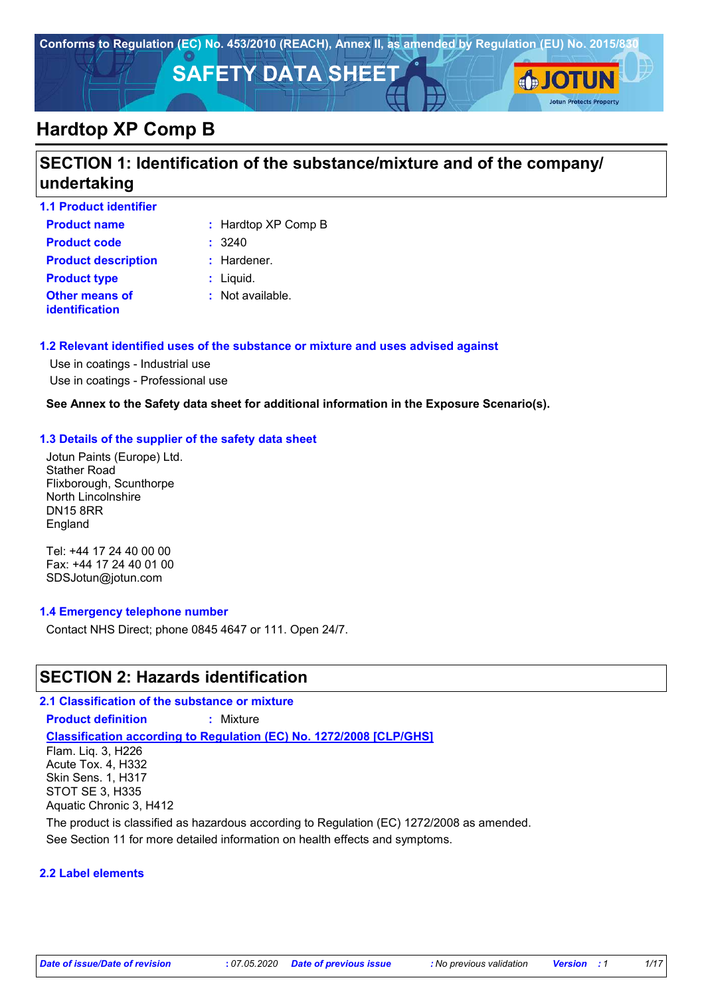

## **Hardtop XP Comp B**

### **SECTION 1: Identification of the substance/mixture and of the company/ undertaking**

| <b>1.1 Product identifier</b>                  |                     |
|------------------------------------------------|---------------------|
| <b>Product name</b>                            | : Hardtop XP Comp B |
| <b>Product code</b>                            | : 3240              |
| <b>Product description</b>                     | $:$ Hardener.       |
| <b>Product type</b>                            | $:$ Liquid.         |
| <b>Other means of</b><br><b>identification</b> | : Not available.    |

### **1.2 Relevant identified uses of the substance or mixture and uses advised against**

Use in coatings - Industrial use Use in coatings - Professional use

#### **See Annex to the Safety data sheet for additional information in the Exposure Scenario(s).**

#### **1.3 Details of the supplier of the safety data sheet**

Jotun Paints (Europe) Ltd. Stather Road Flixborough, Scunthorpe North Lincolnshire DN15 8RR England

Tel: +44 17 24 40 00 00 Fax: +44 17 24 40 01 00 SDSJotun@jotun.com

#### **1.4 Emergency telephone number**

Contact NHS Direct; phone 0845 4647 or 111. Open 24/7.

### **SECTION 2: Hazards identification**

**Classification according to Regulation (EC) No. 1272/2008 [CLP/GHS] 2.1 Classification of the substance or mixture Product definition :** Mixture Flam. Liq. 3, H226 Acute Tox. 4, H332 Skin Sens. 1, H317 STOT SE 3, H335

Aquatic Chronic 3, H412

The product is classified as hazardous according to Regulation (EC) 1272/2008 as amended.

See Section 11 for more detailed information on health effects and symptoms.

#### **2.2 Label elements**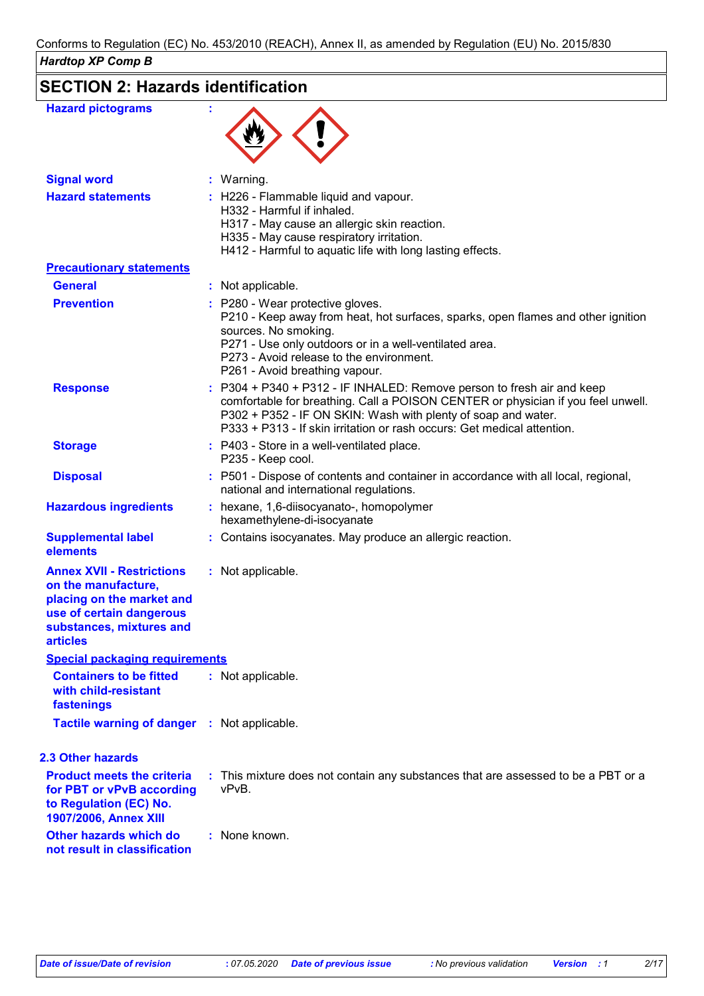### **SECTION 2: Hazards identification**

| <b>Hazard pictograms</b>                                                                                                                                        |                                                                                                                                                                                                                                                                                                        |
|-----------------------------------------------------------------------------------------------------------------------------------------------------------------|--------------------------------------------------------------------------------------------------------------------------------------------------------------------------------------------------------------------------------------------------------------------------------------------------------|
| <b>Signal word</b>                                                                                                                                              | : Warning.                                                                                                                                                                                                                                                                                             |
| <b>Hazard statements</b>                                                                                                                                        | : H226 - Flammable liquid and vapour.<br>H332 - Harmful if inhaled.<br>H317 - May cause an allergic skin reaction.<br>H335 - May cause respiratory irritation.<br>H412 - Harmful to aquatic life with long lasting effects.                                                                            |
| <b>Precautionary statements</b>                                                                                                                                 |                                                                                                                                                                                                                                                                                                        |
| <b>General</b>                                                                                                                                                  | : Not applicable.                                                                                                                                                                                                                                                                                      |
| <b>Prevention</b>                                                                                                                                               | : P280 - Wear protective gloves.<br>P210 - Keep away from heat, hot surfaces, sparks, open flames and other ignition<br>sources. No smoking.<br>P271 - Use only outdoors or in a well-ventilated area.<br>P273 - Avoid release to the environment.<br>P261 - Avoid breathing vapour.                   |
| <b>Response</b>                                                                                                                                                 | : P304 + P340 + P312 - IF INHALED: Remove person to fresh air and keep<br>comfortable for breathing. Call a POISON CENTER or physician if you feel unwell.<br>P302 + P352 - IF ON SKIN: Wash with plenty of soap and water.<br>P333 + P313 - If skin irritation or rash occurs: Get medical attention. |
| <b>Storage</b>                                                                                                                                                  | : P403 - Store in a well-ventilated place.<br>P235 - Keep cool.                                                                                                                                                                                                                                        |
| <b>Disposal</b>                                                                                                                                                 | : P501 - Dispose of contents and container in accordance with all local, regional,<br>national and international regulations.                                                                                                                                                                          |
| <b>Hazardous ingredients</b>                                                                                                                                    | : hexane, 1,6-diisocyanato-, homopolymer<br>hexamethylene-di-isocyanate                                                                                                                                                                                                                                |
| <b>Supplemental label</b><br>elements                                                                                                                           | : Contains isocyanates. May produce an allergic reaction.                                                                                                                                                                                                                                              |
| <b>Annex XVII - Restrictions</b><br>on the manufacture,<br>placing on the market and<br>use of certain dangerous<br>substances, mixtures and<br><b>articles</b> | : Not applicable.                                                                                                                                                                                                                                                                                      |
| <b>Special packaging requirements</b>                                                                                                                           |                                                                                                                                                                                                                                                                                                        |
| <b>Containers to be fitted</b><br>with child-resistant<br>fastenings                                                                                            | : Not applicable.                                                                                                                                                                                                                                                                                      |
| <b>Tactile warning of danger : Not applicable.</b>                                                                                                              |                                                                                                                                                                                                                                                                                                        |
| <b>2.3 Other hazards</b>                                                                                                                                        |                                                                                                                                                                                                                                                                                                        |
| <b>Product meets the criteria</b><br>for PBT or vPvB according<br>to Regulation (EC) No.<br>1907/2006, Annex XIII                                               | : This mixture does not contain any substances that are assessed to be a PBT or a<br>vPvB.                                                                                                                                                                                                             |
| Other hazards which do<br>not result in classification                                                                                                          | : None known.                                                                                                                                                                                                                                                                                          |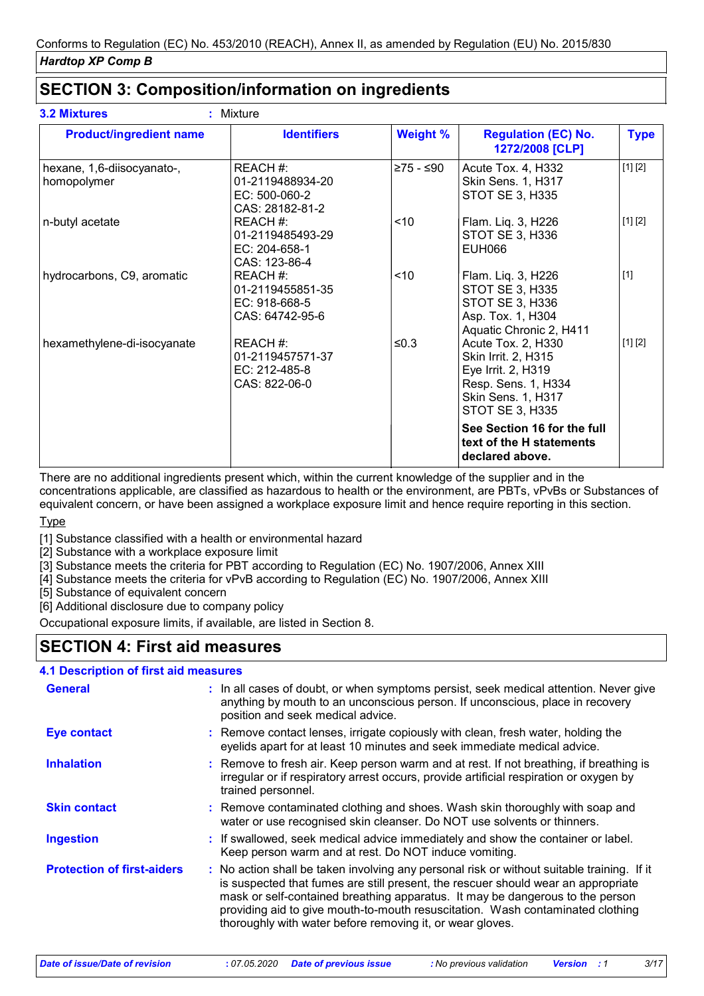### **SECTION 3: Composition/information on ingredients**

| <b>Product/ingredient name</b>            | <b>Identifiers</b>                                                 | <b>Weight %</b> | <b>Regulation (EC) No.</b><br>1272/2008 [CLP]                                                                                                 | <b>Type</b> |
|-------------------------------------------|--------------------------------------------------------------------|-----------------|-----------------------------------------------------------------------------------------------------------------------------------------------|-------------|
| hexane, 1,6-diisocyanato-,<br>homopolymer | REACH #:<br>01-2119488934-20<br>$EC: 500-060-2$<br>CAS: 28182-81-2 | ≥75 - ≤90       | Acute Tox. 4, H332<br><b>Skin Sens. 1, H317</b><br><b>STOT SE 3, H335</b>                                                                     | [1] [2]     |
| n-butyl acetate                           | REACH #:<br>01-2119485493-29<br>EC: 204-658-1<br>CAS: 123-86-4     | ~10             | Flam. Liq. 3, H226<br>STOT SE 3, H336<br><b>EUH066</b>                                                                                        | [1] [2]     |
| hydrocarbons, C9, aromatic                | REACH #:<br>01-2119455851-35<br>EC: 918-668-5<br>CAS: 64742-95-6   | ~10             | Flam. Liq. 3, H226<br>STOT SE 3, H335<br>STOT SE 3, H336<br>Asp. Tox. 1, H304<br>Aquatic Chronic 2, H411                                      | $[1]$       |
| hexamethylene-di-isocyanate               | REACH #:<br>01-2119457571-37<br>$EC: 212-485-8$<br>CAS: 822-06-0   | ≤ $0.3$         | Acute Tox. 2, H330<br>Skin Irrit. 2, H315<br>Eye Irrit. 2, H319<br>Resp. Sens. 1, H334<br><b>Skin Sens. 1, H317</b><br><b>STOT SE 3, H335</b> | [1] [2]     |
|                                           |                                                                    |                 | See Section 16 for the full<br>text of the H statements<br>declared above.                                                                    |             |

There are no additional ingredients present which, within the current knowledge of the supplier and in the concentrations applicable, are classified as hazardous to health or the environment, are PBTs, vPvBs or Substances of equivalent concern, or have been assigned a workplace exposure limit and hence require reporting in this section.

**Type** 

[1] Substance classified with a health or environmental hazard

[2] Substance with a workplace exposure limit

[3] Substance meets the criteria for PBT according to Regulation (EC) No. 1907/2006, Annex XIII

[4] Substance meets the criteria for vPvB according to Regulation (EC) No. 1907/2006, Annex XIII

[5] Substance of equivalent concern

[6] Additional disclosure due to company policy

Occupational exposure limits, if available, are listed in Section 8.

### **SECTION 4: First aid measures**

#### **4.1 Description of first aid measures**

| General                           | : In all cases of doubt, or when symptoms persist, seek medical attention. Never give<br>anything by mouth to an unconscious person. If unconscious, place in recovery<br>position and seek medical advice.                                                                                                                                                                                                     |  |
|-----------------------------------|-----------------------------------------------------------------------------------------------------------------------------------------------------------------------------------------------------------------------------------------------------------------------------------------------------------------------------------------------------------------------------------------------------------------|--|
| <b>Eye contact</b>                | : Remove contact lenses, irrigate copiously with clean, fresh water, holding the<br>eyelids apart for at least 10 minutes and seek immediate medical advice.                                                                                                                                                                                                                                                    |  |
| <b>Inhalation</b>                 | : Remove to fresh air. Keep person warm and at rest. If not breathing, if breathing is<br>irregular or if respiratory arrest occurs, provide artificial respiration or oxygen by<br>trained personnel.                                                                                                                                                                                                          |  |
| <b>Skin contact</b>               | : Remove contaminated clothing and shoes. Wash skin thoroughly with soap and<br>water or use recognised skin cleanser. Do NOT use solvents or thinners.                                                                                                                                                                                                                                                         |  |
| <b>Ingestion</b>                  | : If swallowed, seek medical advice immediately and show the container or label.<br>Keep person warm and at rest. Do NOT induce vomiting.                                                                                                                                                                                                                                                                       |  |
| <b>Protection of first-aiders</b> | : No action shall be taken involving any personal risk or without suitable training. If it<br>is suspected that fumes are still present, the rescuer should wear an appropriate<br>mask or self-contained breathing apparatus. It may be dangerous to the person<br>providing aid to give mouth-to-mouth resuscitation. Wash contaminated clothing<br>thoroughly with water before removing it, or wear gloves. |  |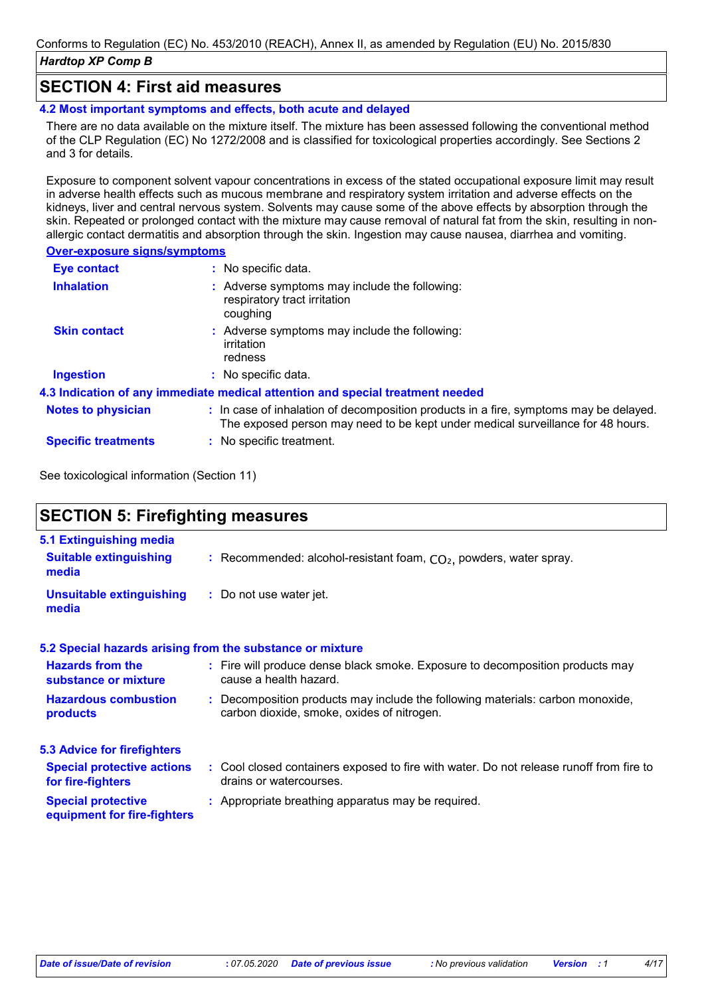### **SECTION 4: First aid measures**

**4.2 Most important symptoms and effects, both acute and delayed**

There are no data available on the mixture itself. The mixture has been assessed following the conventional method of the CLP Regulation (EC) No 1272/2008 and is classified for toxicological properties accordingly. See Sections 2 and 3 for details.

Exposure to component solvent vapour concentrations in excess of the stated occupational exposure limit may result in adverse health effects such as mucous membrane and respiratory system irritation and adverse effects on the kidneys, liver and central nervous system. Solvents may cause some of the above effects by absorption through the skin. Repeated or prolonged contact with the mixture may cause removal of natural fat from the skin, resulting in nonallergic contact dermatitis and absorption through the skin. Ingestion may cause nausea, diarrhea and vomiting.

#### **Over-exposure signs/symptoms**

| <b>Eye contact</b>         | : No specific data.                                                                                                                                                      |
|----------------------------|--------------------------------------------------------------------------------------------------------------------------------------------------------------------------|
| <b>Inhalation</b>          | : Adverse symptoms may include the following:<br>respiratory tract irritation<br>coughing                                                                                |
| <b>Skin contact</b>        | : Adverse symptoms may include the following:<br>irritation<br>redness                                                                                                   |
| <b>Ingestion</b>           | : No specific data.                                                                                                                                                      |
|                            | 4.3 Indication of any immediate medical attention and special treatment needed                                                                                           |
| <b>Notes to physician</b>  | : In case of inhalation of decomposition products in a fire, symptoms may be delayed.<br>The exposed person may need to be kept under medical surveillance for 48 hours. |
| <b>Specific treatments</b> | : No specific treatment.                                                                                                                                                 |

See toxicological information (Section 11)

### **SECTION 5: Firefighting measures**

| 5.1 Extinguishing media                                  |                                                                                                                              |
|----------------------------------------------------------|------------------------------------------------------------------------------------------------------------------------------|
| <b>Suitable extinguishing</b><br>media                   | : Recommended: alcohol-resistant foam, $CO2$ , powders, water spray.                                                         |
| Unsuitable extinguishing<br>media                        | : Do not use water jet.                                                                                                      |
|                                                          | 5.2 Special hazards arising from the substance or mixture                                                                    |
| <b>Hazards from the</b><br>substance or mixture          | : Fire will produce dense black smoke. Exposure to decomposition products may<br>cause a health hazard.                      |
| <b>Hazardous combustion</b><br>products                  | : Decomposition products may include the following materials: carbon monoxide,<br>carbon dioxide, smoke, oxides of nitrogen. |
| <b>5.3 Advice for firefighters</b>                       |                                                                                                                              |
| <b>Special protective actions</b><br>for fire-fighters   | : Cool closed containers exposed to fire with water. Do not release runoff from fire to<br>drains or watercourses.           |
| <b>Special protective</b><br>equipment for fire-fighters | : Appropriate breathing apparatus may be required.                                                                           |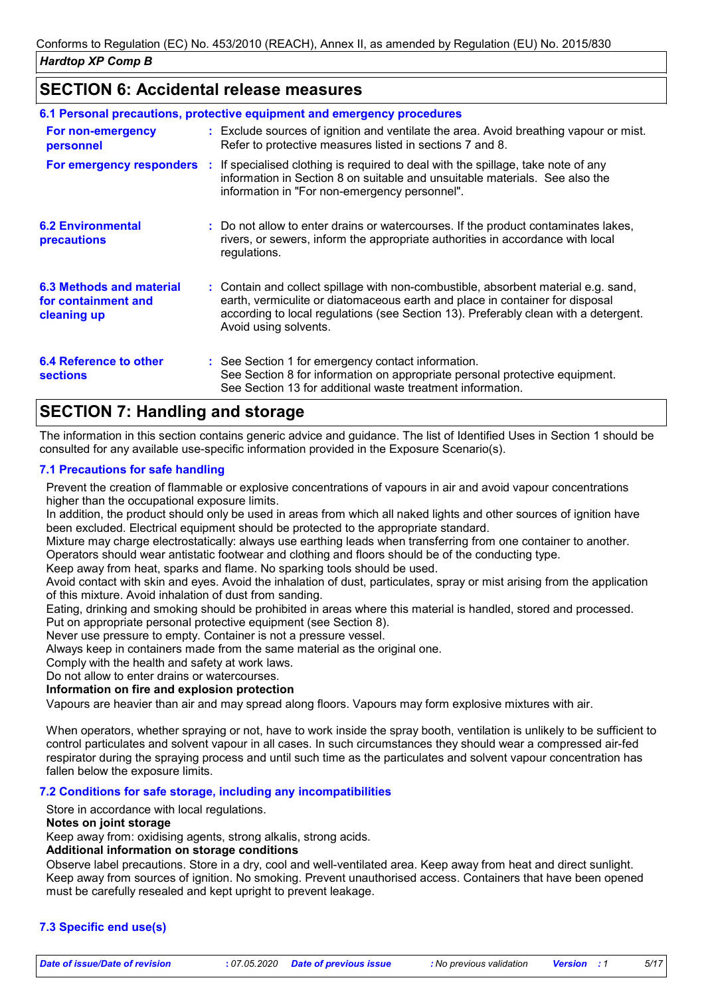### **SECTION 6: Accidental release measures**

|                                                                | 6.1 Personal precautions, protective equipment and emergency procedures                                                                                                                                                                                                            |
|----------------------------------------------------------------|------------------------------------------------------------------------------------------------------------------------------------------------------------------------------------------------------------------------------------------------------------------------------------|
| For non-emergency<br>personnel                                 | : Exclude sources of ignition and ventilate the area. Avoid breathing vapour or mist.<br>Refer to protective measures listed in sections 7 and 8.                                                                                                                                  |
|                                                                | <b>For emergency responders</b> : If specialised clothing is required to deal with the spillage, take note of any<br>information in Section 8 on suitable and unsuitable materials. See also the<br>information in "For non-emergency personnel".                                  |
| <b>6.2 Environmental</b><br><b>precautions</b>                 | : Do not allow to enter drains or watercourses. If the product contaminates lakes,<br>rivers, or sewers, inform the appropriate authorities in accordance with local<br>regulations.                                                                                               |
| 6.3 Methods and material<br>for containment and<br>cleaning up | : Contain and collect spillage with non-combustible, absorbent material e.g. sand,<br>earth, vermiculite or diatomaceous earth and place in container for disposal<br>according to local regulations (see Section 13). Preferably clean with a detergent.<br>Avoid using solvents. |
| 6.4 Reference to other<br><b>sections</b>                      | : See Section 1 for emergency contact information.<br>See Section 8 for information on appropriate personal protective equipment.<br>See Section 13 for additional waste treatment information.                                                                                    |

### **SECTION 7: Handling and storage**

The information in this section contains generic advice and guidance. The list of Identified Uses in Section 1 should be consulted for any available use-specific information provided in the Exposure Scenario(s).

### **7.1 Precautions for safe handling**

Prevent the creation of flammable or explosive concentrations of vapours in air and avoid vapour concentrations higher than the occupational exposure limits.

In addition, the product should only be used in areas from which all naked lights and other sources of ignition have been excluded. Electrical equipment should be protected to the appropriate standard.

Mixture may charge electrostatically: always use earthing leads when transferring from one container to another. Operators should wear antistatic footwear and clothing and floors should be of the conducting type.

Keep away from heat, sparks and flame. No sparking tools should be used.

Avoid contact with skin and eyes. Avoid the inhalation of dust, particulates, spray or mist arising from the application of this mixture. Avoid inhalation of dust from sanding.

Eating, drinking and smoking should be prohibited in areas where this material is handled, stored and processed. Put on appropriate personal protective equipment (see Section 8).

Never use pressure to empty. Container is not a pressure vessel.

Always keep in containers made from the same material as the original one.

Comply with the health and safety at work laws.

Do not allow to enter drains or watercourses.

**Information on fire and explosion protection**

Vapours are heavier than air and may spread along floors. Vapours may form explosive mixtures with air.

When operators, whether spraying or not, have to work inside the spray booth, ventilation is unlikely to be sufficient to control particulates and solvent vapour in all cases. In such circumstances they should wear a compressed air-fed respirator during the spraying process and until such time as the particulates and solvent vapour concentration has fallen below the exposure limits.

#### **7.2 Conditions for safe storage, including any incompatibilities**

Store in accordance with local regulations.

#### **Notes on joint storage**

Keep away from: oxidising agents, strong alkalis, strong acids.

### **Additional information on storage conditions**

Observe label precautions. Store in a dry, cool and well-ventilated area. Keep away from heat and direct sunlight. Keep away from sources of ignition. No smoking. Prevent unauthorised access. Containers that have been opened must be carefully resealed and kept upright to prevent leakage.

### **7.3 Specific end use(s)**

*Date of issue/Date of revision* **:** *07.05.2020 Date of previous issue : No previous validation Version : 1 5/17*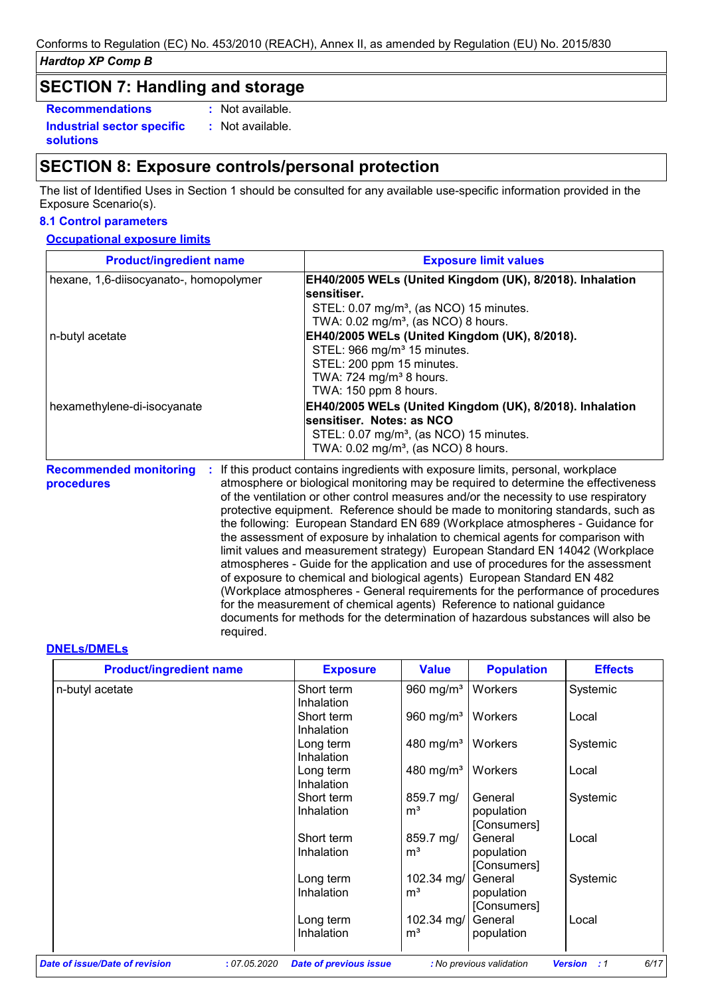### **SECTION 7: Handling and storage**

**Recommendations :**

**Industrial sector specific :**

**solutions**

: Not available. : Not available.

### **SECTION 8: Exposure controls/personal protection**

required.

The list of Identified Uses in Section 1 should be consulted for any available use-specific information provided in the Exposure Scenario(s).

### **8.1 Control parameters**

### **Occupational exposure limits**

| <b>Product/ingredient name</b>              | <b>Exposure limit values</b>                                                                                                                                                                                                                                                                                                                                                                                                                                                                                                                                                                                                                                                                                                                                                                                                                          |
|---------------------------------------------|-------------------------------------------------------------------------------------------------------------------------------------------------------------------------------------------------------------------------------------------------------------------------------------------------------------------------------------------------------------------------------------------------------------------------------------------------------------------------------------------------------------------------------------------------------------------------------------------------------------------------------------------------------------------------------------------------------------------------------------------------------------------------------------------------------------------------------------------------------|
| hexane, 1,6-diisocyanato-, homopolymer      | EH40/2005 WELs (United Kingdom (UK), 8/2018). Inhalation<br>sensitiser.<br>STEL: 0.07 mg/m <sup>3</sup> , (as NCO) 15 minutes.<br>TWA: 0.02 mg/m <sup>3</sup> , (as NCO) 8 hours.                                                                                                                                                                                                                                                                                                                                                                                                                                                                                                                                                                                                                                                                     |
| n-butyl acetate                             | EH40/2005 WELs (United Kingdom (UK), 8/2018).<br>STEL: 966 mg/m <sup>3</sup> 15 minutes.<br>STEL: 200 ppm 15 minutes.<br>TWA: $724 \text{ mg/m}^3$ 8 hours.<br>TWA: 150 ppm 8 hours.                                                                                                                                                                                                                                                                                                                                                                                                                                                                                                                                                                                                                                                                  |
| hexamethylene-di-isocyanate                 | EH40/2005 WELs (United Kingdom (UK), 8/2018). Inhalation<br>sensitiser. Notes: as NCO<br>STEL: 0.07 mg/m <sup>3</sup> , (as NCO) 15 minutes.<br>TWA: $0.02 \text{ mg/m}^3$ , (as NCO) 8 hours.                                                                                                                                                                                                                                                                                                                                                                                                                                                                                                                                                                                                                                                        |
| <b>Recommended monitoring</b><br>procedures | If this product contains ingredients with exposure limits, personal, workplace<br>atmosphere or biological monitoring may be required to determine the effectiveness<br>of the ventilation or other control measures and/or the necessity to use respiratory<br>protective equipment. Reference should be made to monitoring standards, such as<br>the following: European Standard EN 689 (Workplace atmospheres - Guidance for<br>the assessment of exposure by inhalation to chemical agents for comparison with<br>limit values and measurement strategy) European Standard EN 14042 (Workplace<br>atmospheres - Guide for the application and use of procedures for the assessment<br>of exposure to chemical and biological agents) European Standard EN 482<br>(Workplace atmospheres - General requirements for the performance of procedures |

for the measurement of chemical agents) Reference to national guidance

documents for methods for the determination of hazardous substances will also be

#### **DNELs/DMELs**

| <b>Product/ingredient name</b>                | <b>Exposure</b>               | <b>Value</b>                 | <b>Population</b>                    | <b>Effects</b>                      |
|-----------------------------------------------|-------------------------------|------------------------------|--------------------------------------|-------------------------------------|
| n-butyl acetate                               | Short term<br>Inhalation      | 960 mg/m <sup>3</sup>        | Workers                              | Systemic                            |
|                                               | Short term<br>Inhalation      | 960 mg/ $m3$                 | Workers                              | Local                               |
|                                               | Long term<br>Inhalation       | 480 mg/m <sup>3</sup>        | <b>Workers</b>                       | Systemic                            |
|                                               | Long term<br>Inhalation       | 480 mg/m <sup>3</sup>        | Workers                              | Local                               |
|                                               | Short term<br>Inhalation      | 859.7 mg/<br>m <sup>3</sup>  | General<br>population<br>[Consumers] | Systemic                            |
|                                               | Short term<br>Inhalation      | 859.7 mg/<br>m <sup>3</sup>  | General<br>population<br>[Consumers] | Local                               |
|                                               | Long term<br>Inhalation       | 102.34 mg/<br>m <sup>3</sup> | General<br>population<br>[Consumers] | Systemic                            |
|                                               | Long term<br>Inhalation       | 102.34 mg/<br>m <sup>3</sup> | General<br>population                | Local                               |
| ate of issue/Date of revision<br>: 07.05.2020 | <b>Date of previous issue</b> |                              | : No previous validation             | 6/17<br><b>Version</b><br>$\cdot$ 1 |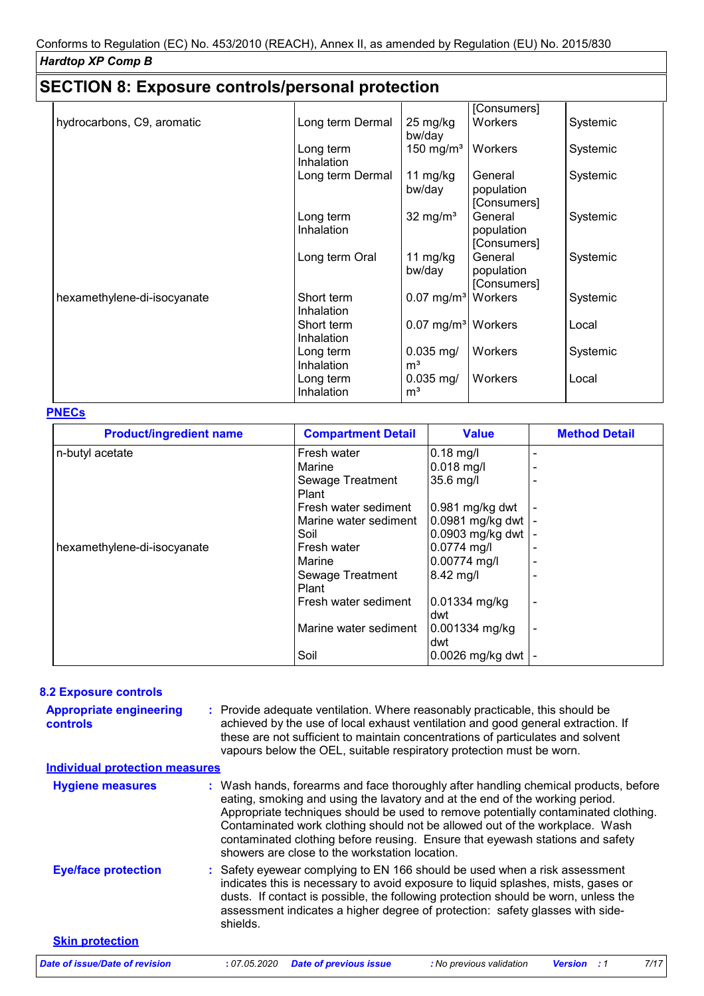### **SECTION 8: Exposure controls/personal protection**

|                             |                  |                                | [Consumers]    |          |
|-----------------------------|------------------|--------------------------------|----------------|----------|
| hydrocarbons, C9, aromatic  | Long term Dermal | 25 mg/kg                       | <b>Workers</b> | Systemic |
|                             |                  | bw/day                         |                |          |
|                             | Long term        | 150 mg/m <sup>3</sup>          | <b>Workers</b> | Systemic |
|                             | Inhalation       |                                |                |          |
|                             | Long term Dermal | 11 mg/kg                       | General        | Systemic |
|                             |                  | bw/day                         | population     |          |
|                             |                  |                                | [Consumers]    |          |
|                             | Long term        | $32 \text{ mg/m}^3$            | General        | Systemic |
|                             | Inhalation       |                                | population     |          |
|                             |                  |                                | [Consumers]    |          |
|                             | Long term Oral   | 11 mg/kg                       | General        | Systemic |
|                             |                  | bw/day                         | population     |          |
|                             |                  |                                | [Consumers]    |          |
| hexamethylene-di-isocyanate | Short term       | $0.07$ mg/m <sup>3</sup>       | Workers        | Systemic |
|                             | Inhalation       |                                |                |          |
|                             | Short term       | 0.07 mg/m <sup>3</sup> Workers |                | Local    |
|                             | Inhalation       |                                |                |          |
|                             | Long term        | $0.035$ mg/                    | Workers        | Systemic |
|                             | Inhalation       | m <sup>3</sup>                 |                |          |
|                             | Long term        | $0.035$ mg/                    | <b>Workers</b> | Local    |
|                             | Inhalation       | m <sup>3</sup>                 |                |          |

### **PNECs**

| <b>Product/ingredient name</b> | <b>Compartment Detail</b> | <b>Value</b>      | <b>Method Detail</b> |
|--------------------------------|---------------------------|-------------------|----------------------|
| n-butyl acetate                | Fresh water               | $0.18$ mg/l       |                      |
|                                | Marine                    | $0.018$ mg/l      |                      |
|                                | Sewage Treatment          | 35.6 mg/l         |                      |
|                                | Plant                     |                   |                      |
|                                | Fresh water sediment      | $0.981$ mg/kg dwt |                      |
|                                | Marine water sediment     | 0.0981 mg/kg dwt  |                      |
|                                | Soil                      | 0.0903 mg/kg dwt  |                      |
| hexamethylene-di-isocyanate    | Fresh water               | 0.0774 mg/l       |                      |
|                                | Marine                    | 0.00774 mg/l      |                      |
|                                | Sewage Treatment          | 8.42 mg/l         |                      |
|                                | Plant                     |                   |                      |
|                                | Fresh water sediment      | 0.01334 mg/kg     |                      |
|                                |                           | ldwt              |                      |
|                                | Marine water sediment     | 0.001334 mg/kg    |                      |
|                                |                           | ldwt              |                      |
|                                | Soil                      | 0.0026 mg/kg dwt  |                      |

### **8.2 Exposure controls**

| <b>Appropriate engineering</b><br><b>controls</b> | : Provide adequate ventilation. Where reasonably practicable, this should be<br>achieved by the use of local exhaust ventilation and good general extraction. If<br>these are not sufficient to maintain concentrations of particulates and solvent<br>vapours below the OEL, suitable respiratory protection must be worn.                                                                                                                                                 |
|---------------------------------------------------|-----------------------------------------------------------------------------------------------------------------------------------------------------------------------------------------------------------------------------------------------------------------------------------------------------------------------------------------------------------------------------------------------------------------------------------------------------------------------------|
| <b>Individual protection measures</b>             |                                                                                                                                                                                                                                                                                                                                                                                                                                                                             |
| <b>Hygiene measures</b>                           | : Wash hands, forearms and face thoroughly after handling chemical products, before<br>eating, smoking and using the lavatory and at the end of the working period.<br>Appropriate techniques should be used to remove potentially contaminated clothing.<br>Contaminated work clothing should not be allowed out of the workplace. Wash<br>contaminated clothing before reusing. Ensure that eyewash stations and safety<br>showers are close to the workstation location. |
| <b>Eye/face protection</b>                        | : Safety eyewear complying to EN 166 should be used when a risk assessment<br>indicates this is necessary to avoid exposure to liquid splashes, mists, gases or<br>dusts. If contact is possible, the following protection should be worn, unless the<br>assessment indicates a higher degree of protection: safety glasses with side-<br>shields.                                                                                                                          |
| <b>Skin protection</b>                            |                                                                                                                                                                                                                                                                                                                                                                                                                                                                             |
| Date of issue/Date of revision                    | 7/17<br>: 07.05.2020<br><b>Date of previous issue</b><br>: No previous validation<br><b>Version</b> : 1                                                                                                                                                                                                                                                                                                                                                                     |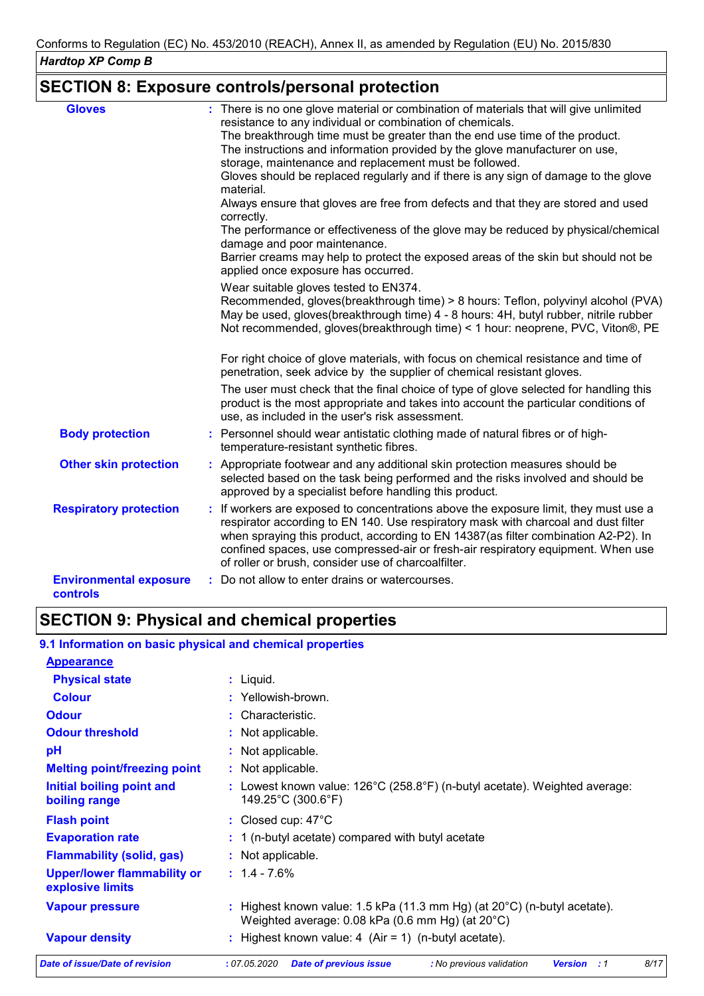### **SECTION 8: Exposure controls/personal protection**

| : There is no one glove material or combination of materials that will give unlimited<br>The breakthrough time must be greater than the end use time of the product.<br>The instructions and information provided by the glove manufacturer on use,<br>Gloves should be replaced regularly and if there is any sign of damage to the glove<br>Always ensure that gloves are free from defects and that they are stored and used<br>The performance or effectiveness of the glove may be reduced by physical/chemical<br>Barrier creams may help to protect the exposed areas of the skin but should not be |
|------------------------------------------------------------------------------------------------------------------------------------------------------------------------------------------------------------------------------------------------------------------------------------------------------------------------------------------------------------------------------------------------------------------------------------------------------------------------------------------------------------------------------------------------------------------------------------------------------------|
| Recommended, gloves(breakthrough time) > 8 hours: Teflon, polyvinyl alcohol (PVA)<br>May be used, gloves(breakthrough time) 4 - 8 hours: 4H, butyl rubber, nitrile rubber<br>Not recommended, gloves(breakthrough time) < 1 hour: neoprene, PVC, Viton®, PE                                                                                                                                                                                                                                                                                                                                                |
| For right choice of glove materials, with focus on chemical resistance and time of                                                                                                                                                                                                                                                                                                                                                                                                                                                                                                                         |
| The user must check that the final choice of type of glove selected for handling this<br>product is the most appropriate and takes into account the particular conditions of                                                                                                                                                                                                                                                                                                                                                                                                                               |
|                                                                                                                                                                                                                                                                                                                                                                                                                                                                                                                                                                                                            |
| : Appropriate footwear and any additional skin protection measures should be<br>selected based on the task being performed and the risks involved and should be                                                                                                                                                                                                                                                                                                                                                                                                                                            |
| : If workers are exposed to concentrations above the exposure limit, they must use a<br>respirator according to EN 140. Use respiratory mask with charcoal and dust filter<br>when spraying this product, according to EN 14387(as filter combination A2-P2). In<br>confined spaces, use compressed-air or fresh-air respiratory equipment. When use                                                                                                                                                                                                                                                       |
|                                                                                                                                                                                                                                                                                                                                                                                                                                                                                                                                                                                                            |
|                                                                                                                                                                                                                                                                                                                                                                                                                                                                                                                                                                                                            |

### **SECTION 9: Physical and chemical properties**

### **9.1 Information on basic physical and chemical properties**

| <b>Appearance</b>                                      |                                                                                                                                        |
|--------------------------------------------------------|----------------------------------------------------------------------------------------------------------------------------------------|
| <b>Physical state</b>                                  | $:$ Liquid.                                                                                                                            |
| <b>Colour</b>                                          | : Yellowish-brown.                                                                                                                     |
| <b>Odour</b>                                           | : Characteristic.                                                                                                                      |
| <b>Odour threshold</b>                                 | : Not applicable.                                                                                                                      |
| pH                                                     | : Not applicable.                                                                                                                      |
| <b>Melting point/freezing point</b>                    | : Not applicable.                                                                                                                      |
| Initial boiling point and<br>boiling range             | : Lowest known value: $126^{\circ}$ C (258.8 $^{\circ}$ F) (n-butyl acetate). Weighted average:<br>149.25°C (300.6°F)                  |
| <b>Flash point</b>                                     | : Closed cup: $47^{\circ}$ C                                                                                                           |
| <b>Evaporation rate</b>                                | $: 1$ (n-butyl acetate) compared with butyl acetate                                                                                    |
| <b>Flammability (solid, gas)</b>                       | : Not applicable.                                                                                                                      |
| <b>Upper/lower flammability or</b><br>explosive limits | $: 1.4 - 7.6\%$                                                                                                                        |
| <b>Vapour pressure</b>                                 | : Highest known value: 1.5 kPa (11.3 mm Hg) (at $20^{\circ}$ C) (n-butyl acetate).<br>Weighted average: 0.08 kPa (0.6 mm Hg) (at 20°C) |
| <b>Vapour density</b>                                  | : Highest known value: 4 $(Air = 1)$ (n-butyl acetate).                                                                                |
| Date of issue/Date of revision                         | 8/17<br>: 07.05.2020<br><b>Date of previous issue</b><br>: No previous validation<br><b>Version</b><br>:1                              |
|                                                        |                                                                                                                                        |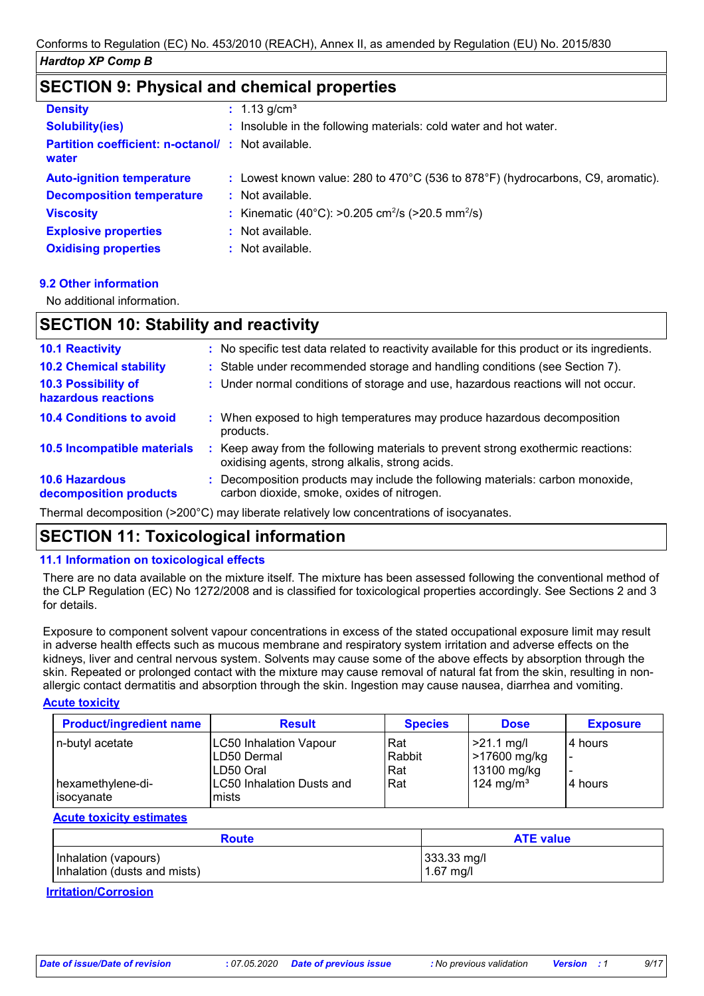### **SECTION 9: Physical and chemical properties**

| <b>Density</b>                                                    | : $1.13$ g/cm <sup>3</sup>                                                                            |
|-------------------------------------------------------------------|-------------------------------------------------------------------------------------------------------|
| <b>Solubility(ies)</b>                                            | : Insoluble in the following materials: cold water and hot water.                                     |
| <b>Partition coefficient: n-octanol/: Not available.</b><br>water |                                                                                                       |
| <b>Auto-ignition temperature</b>                                  | : Lowest known value: $280$ to $470^{\circ}$ C (536 to $878^{\circ}$ F) (hydrocarbons, C9, aromatic). |
| <b>Decomposition temperature</b>                                  | : Not available.                                                                                      |
| <b>Viscosity</b>                                                  | : Kinematic (40°C): >0.205 cm <sup>2</sup> /s (>20.5 mm <sup>2</sup> /s)                              |
| <b>Explosive properties</b>                                       | $:$ Not available.                                                                                    |
| <b>Oxidising properties</b>                                       | : Not available.                                                                                      |

#### **9.2 Other information**

No additional information.

### **SECTION 10: Stability and reactivity**

| <b>10.1 Reactivity</b>                          |    | : No specific test data related to reactivity available for this product or its ingredients.                                      |
|-------------------------------------------------|----|-----------------------------------------------------------------------------------------------------------------------------------|
| <b>10.2 Chemical stability</b>                  |    | : Stable under recommended storage and handling conditions (see Section 7).                                                       |
| 10.3 Possibility of<br>hazardous reactions      |    | : Under normal conditions of storage and use, hazardous reactions will not occur.                                                 |
| <b>10.4 Conditions to avoid</b>                 |    | : When exposed to high temperatures may produce hazardous decomposition<br>products.                                              |
| 10.5 Incompatible materials                     | ÷. | Keep away from the following materials to prevent strong exothermic reactions:<br>oxidising agents, strong alkalis, strong acids. |
| <b>10.6 Hazardous</b><br>decomposition products |    | : Decomposition products may include the following materials: carbon monoxide,<br>carbon dioxide, smoke, oxides of nitrogen.      |

Thermal decomposition (>200°C) may liberate relatively low concentrations of isocyanates.

### **SECTION 11: Toxicological information**

#### **11.1 Information on toxicological effects**

There are no data available on the mixture itself. The mixture has been assessed following the conventional method of the CLP Regulation (EC) No 1272/2008 and is classified for toxicological properties accordingly. See Sections 2 and 3 for details.

Exposure to component solvent vapour concentrations in excess of the stated occupational exposure limit may result in adverse health effects such as mucous membrane and respiratory system irritation and adverse effects on the kidneys, liver and central nervous system. Solvents may cause some of the above effects by absorption through the skin. Repeated or prolonged contact with the mixture may cause removal of natural fat from the skin, resulting in nonallergic contact dermatitis and absorption through the skin. Ingestion may cause nausea, diarrhea and vomiting.

#### **Acute toxicity**

| <b>Product/ingredient name</b> | <b>Result</b>             | <b>Species</b> | <b>Dose</b>           | <b>Exposure</b> |
|--------------------------------|---------------------------|----------------|-----------------------|-----------------|
| n-butyl acetate                | LC50 Inhalation Vapour    | Rat            | $>21.1$ mg/l          | l 4 hours       |
|                                | LD50 Dermal               | Rabbit         | 217600 mg/kg          | -               |
|                                | ILD50 Oral                | Rat            | 13100 mg/kg           |                 |
| hexamethylene-di-              | LC50 Inhalation Dusts and | Rat            | 124 mg/m <sup>3</sup> | l 4 hours       |
| lisocyanate                    | mists                     |                |                       |                 |

#### **Acute toxicity estimates**

| <b>Route</b>                 | <b>ATE value</b> |  |
|------------------------------|------------------|--|
| Inhalation (vapours)         | 333.33 mg/l      |  |
| Inhalation (dusts and mists) | $1.67$ mg/l      |  |

#### **Irritation/Corrosion**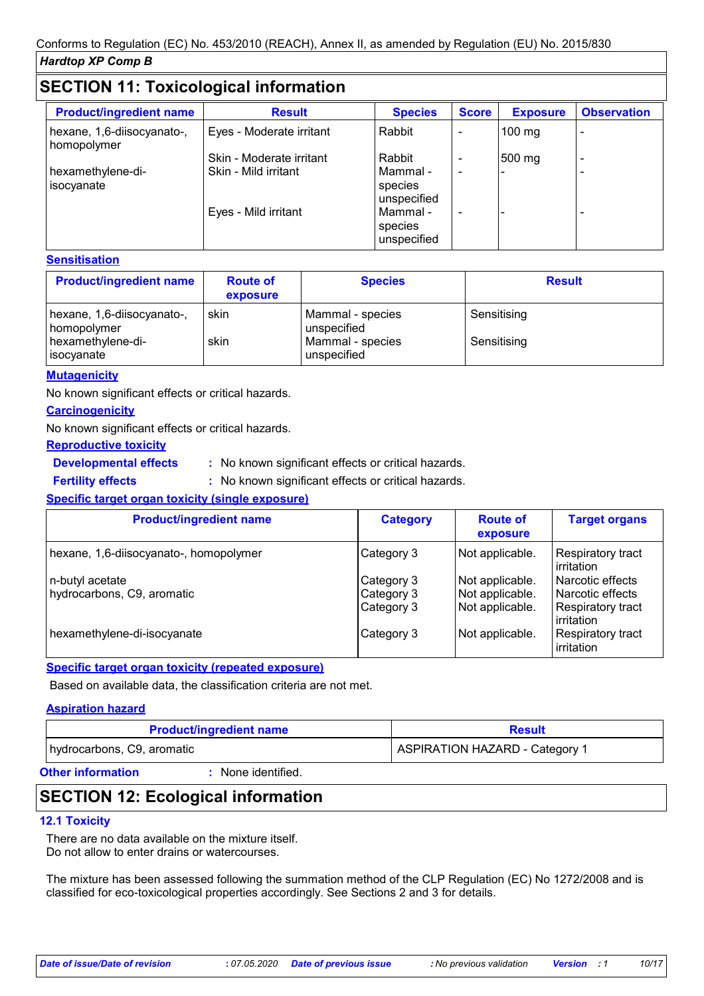### **SECTION 11: Toxicological information**

| <b>Product/ingredient name</b>            | <b>Result</b>            | <b>Species</b>                     | <b>Score</b>             | <b>Exposure</b> | <b>Observation</b> |  |
|-------------------------------------------|--------------------------|------------------------------------|--------------------------|-----------------|--------------------|--|
| hexane, 1,6-diisocyanato-,<br>homopolymer | Eyes - Moderate irritant | Rabbit                             |                          | 100 mg          |                    |  |
|                                           | Skin - Moderate irritant | Rabbit                             |                          | 500 mg          |                    |  |
| hexamethylene-di-<br>isocyanate           | Skin - Mild irritant     | Mammal -<br>species<br>unspecified | $\overline{\phantom{0}}$ |                 |                    |  |
|                                           | Eyes - Mild irritant     | Mammal -<br>species<br>unspecified |                          |                 |                    |  |

#### **Sensitisation**

| <b>Product/ingredient name</b>            | <b>Route of</b><br>exposure | <b>Species</b>                  | <b>Result</b> |
|-------------------------------------------|-----------------------------|---------------------------------|---------------|
| hexane, 1,6-diisocyanato-,<br>homopolymer | skin                        | Mammal - species<br>unspecified | Sensitising   |
| hexamethylene-di-<br><b>isocyanate</b>    | skin                        | Mammal - species<br>unspecified | Sensitising   |

#### **Mutagenicity**

No known significant effects or critical hazards.

### **Carcinogenicity** No known significant effects or critical hazards.

**Reproductive toxicity**

### **Developmental effects :**

: No known significant effects or critical hazards.

**Fertility effects :**

: No known significant effects or critical hazards.

### **Specific target organ toxicity (single exposure)**

| <b>Product/ingredient name</b>                | <b>Category</b>                        | <b>Route of</b><br>exposure                           | <b>Target organs</b>                                          |
|-----------------------------------------------|----------------------------------------|-------------------------------------------------------|---------------------------------------------------------------|
| hexane, 1,6-diisocyanato-, homopolymer        | Category 3                             | Not applicable.                                       | Respiratory tract<br>irritation                               |
| n-butyl acetate<br>hydrocarbons, C9, aromatic | Category 3<br>Category 3<br>Category 3 | Not applicable.<br>Not applicable.<br>Not applicable. | l Narcotic effects<br>l Narcotic effects<br>Respiratory tract |
| hexamethylene-di-isocyanate                   | Category 3                             | Not applicable.                                       | irritation<br>Respiratory tract<br>irritation                 |

### **Specific target organ toxicity (repeated exposure)**

Based on available data, the classification criteria are not met.

#### **Aspiration hazard**

| <b>Product/ingredient name</b> | <b>Result</b>                  |
|--------------------------------|--------------------------------|
| hydrocarbons, C9, aromatic     | ASPIRATION HAZARD - Category 1 |
|                                |                                |

#### **Other information :**

: None identified.

### **SECTION 12: Ecological information**

#### **12.1 Toxicity**

There are no data available on the mixture itself. Do not allow to enter drains or watercourses.

The mixture has been assessed following the summation method of the CLP Regulation (EC) No 1272/2008 and is classified for eco-toxicological properties accordingly. See Sections 2 and 3 for details.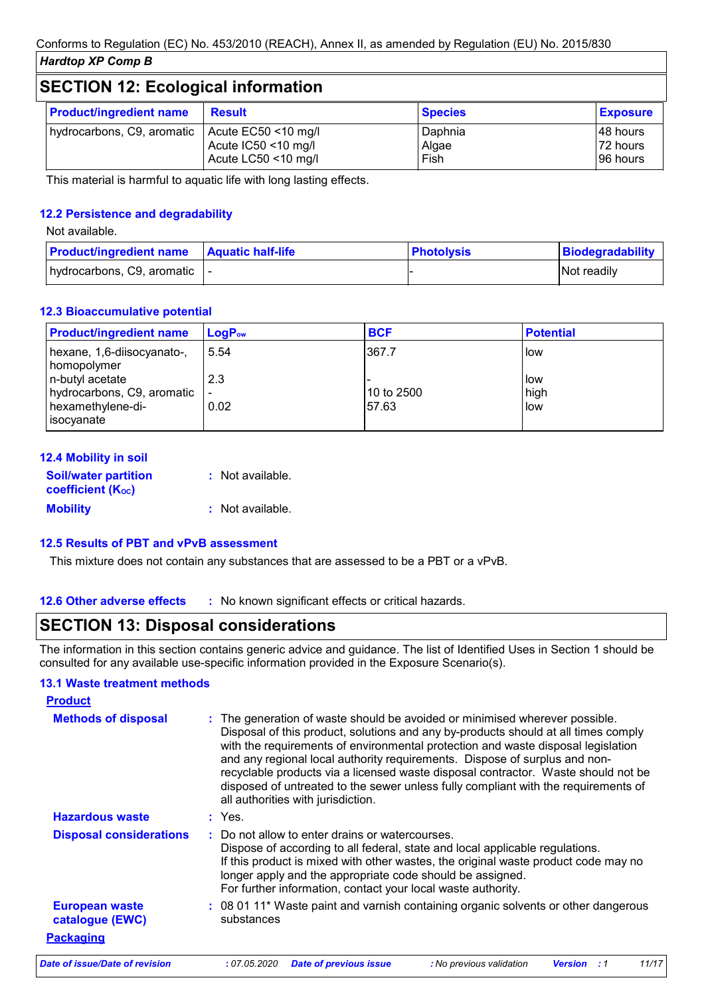### **SECTION 12: Ecological information**

| <b>Product/ingredient name</b>                   | <b>Result</b>                              | <b>Species</b>           | <b>Exposure</b>                    |  |
|--------------------------------------------------|--------------------------------------------|--------------------------|------------------------------------|--|
| hydrocarbons, C9, aromatic   Acute EC50 <10 mg/l | Acute IC50 <10 mg/l<br>Acute LC50 <10 mg/l | Daphnia<br>Algae<br>Fish | 148 hours<br>72 hours<br>196 hours |  |

This material is harmful to aquatic life with long lasting effects.

### **12.2 Persistence and degradability**

Not available.

| <b>Product/ingredient name</b> Aquatic half-life | <b>Photolysis</b> | Biodegradability   |
|--------------------------------------------------|-------------------|--------------------|
| hydrocarbons, C9, aromatic  -                    |                   | <b>Not readily</b> |

### **12.3 Bioaccumulative potential**

| <b>Product/ingredient name</b>                                                   | $LogP_{ow}$                   | <b>BCF</b>          | <b>Potential</b>   |
|----------------------------------------------------------------------------------|-------------------------------|---------------------|--------------------|
| hexane, 1,6-diisocyanato-,<br>homopolymer                                        | 5.54                          | 367.7               | low                |
| n-butyl acetate<br>hydrocarbons, C9, aromatic<br>hexamethylene-di-<br>isocyanate | 2.3<br>$\blacksquare$<br>0.02 | 10 to 2500<br>57.63 | low<br>high<br>low |

| 12.4 Mobility in soil                                   |                  |
|---------------------------------------------------------|------------------|
| <b>Soil/water partition</b><br><b>coefficient (Koc)</b> | : Not available. |
| <b>Mobility</b>                                         | : Not available. |

#### **12.5 Results of PBT and vPvB assessment**

This mixture does not contain any substances that are assessed to be a PBT or a vPvB.

**12.6 Other adverse effects** : No known significant effects or critical hazards.

### **SECTION 13: Disposal considerations**

The information in this section contains generic advice and guidance. The list of Identified Uses in Section 1 should be consulted for any available use-specific information provided in the Exposure Scenario(s).

### **13.1 Waste treatment methods**

| <b>Product</b>                           |                                                                                                                                                                                                                                                                                                                                                                                                                                                                                                                                                      |
|------------------------------------------|------------------------------------------------------------------------------------------------------------------------------------------------------------------------------------------------------------------------------------------------------------------------------------------------------------------------------------------------------------------------------------------------------------------------------------------------------------------------------------------------------------------------------------------------------|
| <b>Methods of disposal</b>               | : The generation of waste should be avoided or minimised wherever possible.<br>Disposal of this product, solutions and any by-products should at all times comply<br>with the requirements of environmental protection and waste disposal legislation<br>and any regional local authority requirements. Dispose of surplus and non-<br>recyclable products via a licensed waste disposal contractor. Waste should not be<br>disposed of untreated to the sewer unless fully compliant with the requirements of<br>all authorities with jurisdiction. |
| <b>Hazardous waste</b>                   | $:$ Yes.                                                                                                                                                                                                                                                                                                                                                                                                                                                                                                                                             |
| <b>Disposal considerations</b>           | : Do not allow to enter drains or watercourses.<br>Dispose of according to all federal, state and local applicable regulations.<br>If this product is mixed with other wastes, the original waste product code may no<br>longer apply and the appropriate code should be assigned.<br>For further information, contact your local waste authority.                                                                                                                                                                                                   |
| <b>European waste</b><br>catalogue (EWC) | : 08 01 11* Waste paint and varnish containing organic solvents or other dangerous<br>substances                                                                                                                                                                                                                                                                                                                                                                                                                                                     |
| <b>Packaging</b>                         |                                                                                                                                                                                                                                                                                                                                                                                                                                                                                                                                                      |
| Date of issue/Date of revision           | : 07.05.2020<br><b>Date of previous issue</b><br>11/17<br>: No previous validation<br><b>Version</b> : 1                                                                                                                                                                                                                                                                                                                                                                                                                                             |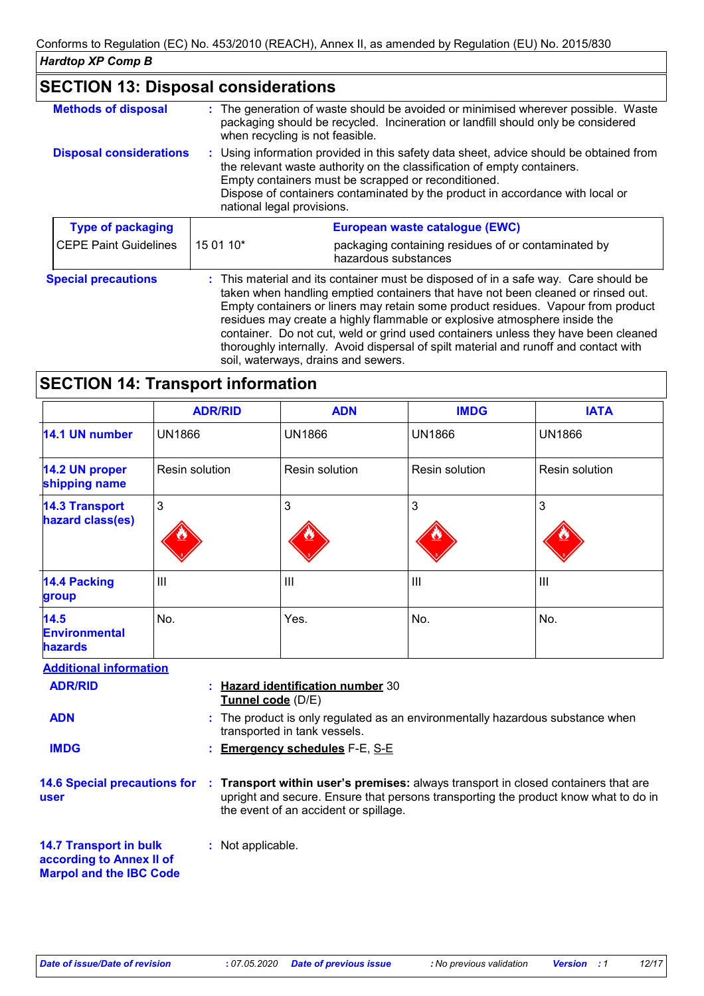| <b>SECTION 13: Disposal considerations</b> |                                                                                                                                                                                                                                                                                                                                                                                                                                                                                                                                                               |  |
|--------------------------------------------|---------------------------------------------------------------------------------------------------------------------------------------------------------------------------------------------------------------------------------------------------------------------------------------------------------------------------------------------------------------------------------------------------------------------------------------------------------------------------------------------------------------------------------------------------------------|--|
| <b>Methods of disposal</b>                 | : The generation of waste should be avoided or minimised wherever possible. Waste<br>packaging should be recycled. Incineration or landfill should only be considered<br>when recycling is not feasible.                                                                                                                                                                                                                                                                                                                                                      |  |
| <b>Disposal considerations</b>             | : Using information provided in this safety data sheet, advice should be obtained from<br>the relevant waste authority on the classification of empty containers.<br>Empty containers must be scrapped or reconditioned.<br>Dispose of containers contaminated by the product in accordance with local or<br>national legal provisions.                                                                                                                                                                                                                       |  |
| <b>Type of packaging</b>                   | European waste catalogue (EWC)                                                                                                                                                                                                                                                                                                                                                                                                                                                                                                                                |  |
| <b>CEPE Paint Guidelines</b>               | 15 01 10*<br>packaging containing residues of or contaminated by<br>hazardous substances                                                                                                                                                                                                                                                                                                                                                                                                                                                                      |  |
| <b>Special precautions</b>                 | : This material and its container must be disposed of in a safe way. Care should be<br>taken when handling emptied containers that have not been cleaned or rinsed out.<br>Empty containers or liners may retain some product residues. Vapour from product<br>residues may create a highly flammable or explosive atmosphere inside the<br>container. Do not cut, weld or grind used containers unless they have been cleaned<br>thoroughly internally. Avoid dispersal of spilt material and runoff and contact with<br>soil, waterways, drains and sewers. |  |

### **SECTION 14: Transport information**

|                                                | <b>ADR/RID</b> | <b>ADN</b>                            | <b>IMDG</b>    | <b>IATA</b>           |
|------------------------------------------------|----------------|---------------------------------------|----------------|-----------------------|
| 14.1 UN number                                 | <b>UN1866</b>  | <b>UN1866</b>                         | <b>UN1866</b>  | <b>UN1866</b>         |
| 14.2 UN proper<br>shipping name                | Resin solution | Resin solution                        | Resin solution | <b>Resin solution</b> |
| <b>14.3 Transport</b><br>hazard class(es)      | 3              | 3                                     | 3              | $\mathbf{3}$          |
| 14.4 Packing<br>group                          | $\mathbf{III}$ | $\begin{array}{c} \hline \end{array}$ | IШ             | $\mathbf{III}$        |
| 14.5<br><b>Environmental</b><br><b>hazards</b> | No.            | Yes.                                  | No.            | No.                   |

**Additional information**

| , warnona, mnonnanon                                      |                                                                                                                                                                                                                    |
|-----------------------------------------------------------|--------------------------------------------------------------------------------------------------------------------------------------------------------------------------------------------------------------------|
| <b>ADR/RID</b>                                            | : Hazard identification number 30<br><b>Tunnel code</b> (D/E)                                                                                                                                                      |
| <b>ADN</b>                                                | : The product is only regulated as an environmentally hazardous substance when<br>transported in tank vessels.                                                                                                     |
| <b>IMDG</b>                                               | : Emergency schedules F-E, S-E                                                                                                                                                                                     |
| <b>14.6 Special precautions for</b><br>user               | : Transport within user's premises: always transport in closed containers that are<br>upright and secure. Ensure that persons transporting the product know what to do in<br>the event of an accident or spillage. |
| <b>14.7 Transport in bulk</b><br>according to Annex II of | : Not applicable.                                                                                                                                                                                                  |

**Marpol and the IBC Code**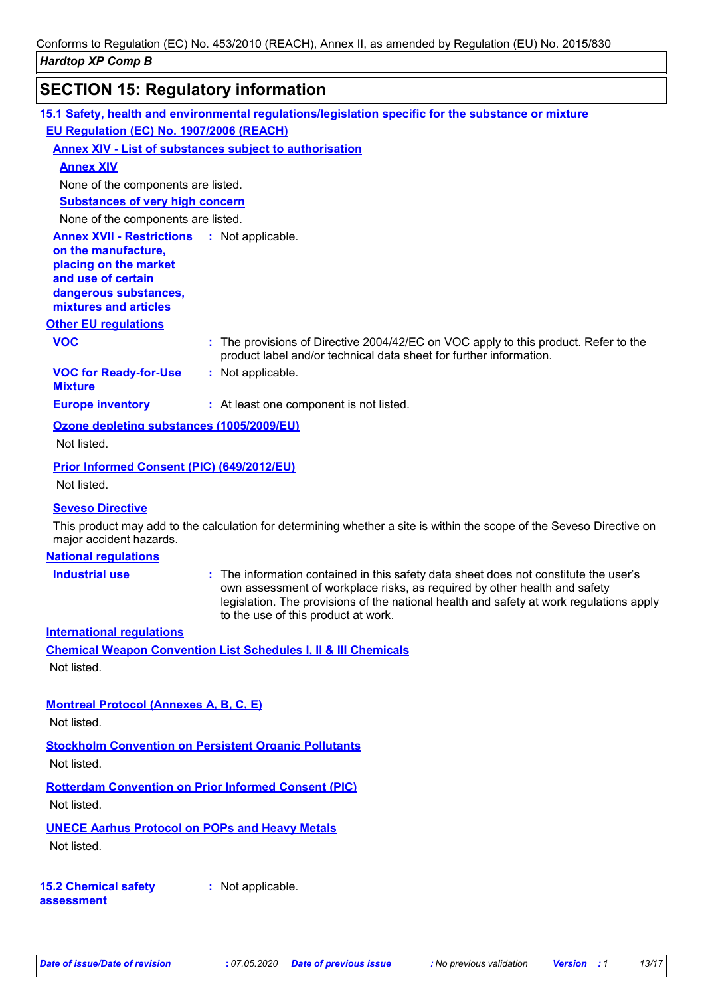# **SECTION 15: Regulatory information**

|                                                                                                                                                                            | 15.1 Safety, health and environmental regulations/legislation specific for the substance or mixture                                                                                                                                                                                                                                                                                   |
|----------------------------------------------------------------------------------------------------------------------------------------------------------------------------|---------------------------------------------------------------------------------------------------------------------------------------------------------------------------------------------------------------------------------------------------------------------------------------------------------------------------------------------------------------------------------------|
| EU Regulation (EC) No. 1907/2006 (REACH)                                                                                                                                   |                                                                                                                                                                                                                                                                                                                                                                                       |
|                                                                                                                                                                            | <b>Annex XIV - List of substances subject to authorisation</b>                                                                                                                                                                                                                                                                                                                        |
| <b>Annex XIV</b>                                                                                                                                                           |                                                                                                                                                                                                                                                                                                                                                                                       |
| None of the components are listed.                                                                                                                                         |                                                                                                                                                                                                                                                                                                                                                                                       |
| <b>Substances of very high concern</b>                                                                                                                                     |                                                                                                                                                                                                                                                                                                                                                                                       |
| None of the components are listed.                                                                                                                                         |                                                                                                                                                                                                                                                                                                                                                                                       |
| <b>Annex XVII - Restrictions : Not applicable.</b><br>on the manufacture,<br>placing on the market<br>and use of certain<br>dangerous substances,<br>mixtures and articles |                                                                                                                                                                                                                                                                                                                                                                                       |
| <b>Other EU regulations</b>                                                                                                                                                |                                                                                                                                                                                                                                                                                                                                                                                       |
| <b>VOC</b>                                                                                                                                                                 | : The provisions of Directive 2004/42/EC on VOC apply to this product. Refer to the<br>product label and/or technical data sheet for further information.                                                                                                                                                                                                                             |
| <b>VOC for Ready-for-Use</b><br><b>Mixture</b>                                                                                                                             | : Not applicable.                                                                                                                                                                                                                                                                                                                                                                     |
| <b>Europe inventory</b>                                                                                                                                                    | : At least one component is not listed.                                                                                                                                                                                                                                                                                                                                               |
| Ozone depleting substances (1005/2009/EU)                                                                                                                                  |                                                                                                                                                                                                                                                                                                                                                                                       |
| Not listed.                                                                                                                                                                |                                                                                                                                                                                                                                                                                                                                                                                       |
| Prior Informed Consent (PIC) (649/2012/EU)<br>Not listed.                                                                                                                  |                                                                                                                                                                                                                                                                                                                                                                                       |
| <b>Seveso Directive</b><br>major accident hazards.<br><b>National regulations</b><br><b>Industrial use</b>                                                                 | This product may add to the calculation for determining whether a site is within the scope of the Seveso Directive on<br>: The information contained in this safety data sheet does not constitute the user's<br>own assessment of workplace risks, as required by other health and safety<br>legislation. The provisions of the national health and safety at work regulations apply |
| <b>International regulations</b><br>Not listed.                                                                                                                            | to the use of this product at work.<br><b>Chemical Weapon Convention List Schedules I, II &amp; III Chemicals</b>                                                                                                                                                                                                                                                                     |
| <b>Montreal Protocol (Annexes A, B, C, E)</b><br>Not listed.                                                                                                               |                                                                                                                                                                                                                                                                                                                                                                                       |
| Not listed.                                                                                                                                                                | <b>Stockholm Convention on Persistent Organic Pollutants</b>                                                                                                                                                                                                                                                                                                                          |
| Not listed.                                                                                                                                                                | <b>Rotterdam Convention on Prior Informed Consent (PIC)</b>                                                                                                                                                                                                                                                                                                                           |
| <b>UNECE Aarhus Protocol on POPs and Heavy Metals</b><br>Not listed.                                                                                                       |                                                                                                                                                                                                                                                                                                                                                                                       |

**15.2 Chemical safety assessment**

**:** Not applicable.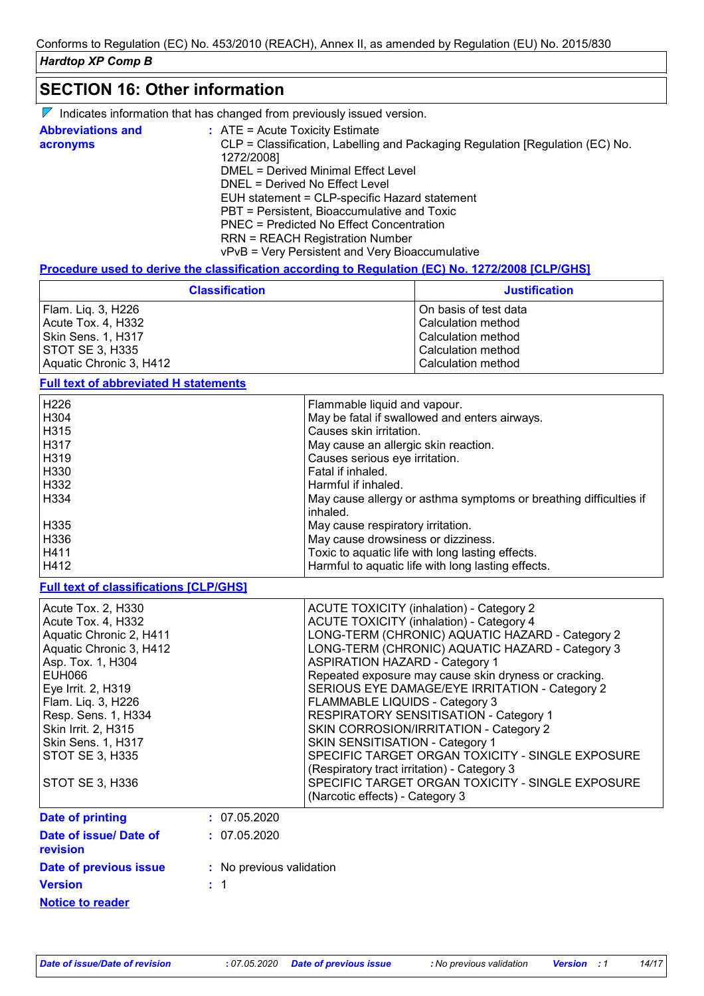### **SECTION 16: Other information**

| $\nabla$ Indicates information that has changed from previously issued version. |  |  |  |  |  |
|---------------------------------------------------------------------------------|--|--|--|--|--|
|---------------------------------------------------------------------------------|--|--|--|--|--|

| <b>Abbreviations and</b><br>acronyms | $\therefore$ ATE = Acute Toxicity Estimate<br>CLP = Classification, Labelling and Packaging Regulation [Regulation (EC) No. |
|--------------------------------------|-----------------------------------------------------------------------------------------------------------------------------|
|                                      | 1272/2008]                                                                                                                  |
|                                      | DMEL = Derived Minimal Effect Level                                                                                         |
|                                      | DNEL = Derived No Effect Level                                                                                              |
|                                      | EUH statement = CLP-specific Hazard statement                                                                               |
|                                      | PBT = Persistent, Bioaccumulative and Toxic                                                                                 |
|                                      | <b>PNEC = Predicted No Effect Concentration</b>                                                                             |
|                                      | <b>RRN = REACH Registration Number</b>                                                                                      |
|                                      | vPvB = Very Persistent and Very Bioaccumulative                                                                             |

#### **Procedure used to derive the classification according to Regulation (EC) No. 1272/2008 [CLP/GHS]**

| <b>Classification</b>   | <b>Justification</b>  |
|-------------------------|-----------------------|
| Flam. Liq. 3, H226      | On basis of test data |
| Acute Tox. 4, H332      | Calculation method    |
| Skin Sens. 1, H317      | Calculation method    |
| STOT SE 3, H335         | Calculation method    |
| Aquatic Chronic 3, H412 | Calculation method    |

### **Full text of abbreviated H statements**

| H <sub>226</sub> | Flammable liquid and vapour.                                                  |
|------------------|-------------------------------------------------------------------------------|
| H <sub>304</sub> | May be fatal if swallowed and enters airways.                                 |
| H315             | Causes skin irritation.                                                       |
| H317             | May cause an allergic skin reaction.                                          |
| H319             | Causes serious eye irritation.                                                |
| H <sub>330</sub> | Fatal if inhaled.                                                             |
| H332             | Harmful if inhaled.                                                           |
| H334             | May cause allergy or asthma symptoms or breathing difficulties if<br>inhaled. |
| H335             | May cause respiratory irritation.                                             |
| H336             | May cause drowsiness or dizziness.                                            |
| H411             | Toxic to aquatic life with long lasting effects.                              |
| H412             | Harmful to aquatic life with long lasting effects.                            |

### **Full text of classifications [CLP/GHS]**

| Acute Tox. 2, H330<br>Acute Tox. 4, H332<br>Aquatic Chronic 2, H411<br>Aquatic Chronic 3, H412<br>Asp. Tox. 1, H304<br>EUH066<br>Eye Irrit. 2, H319 | <b>ACUTE TOXICITY (inhalation) - Category 2</b><br><b>ACUTE TOXICITY (inhalation) - Category 4</b><br>LONG-TERM (CHRONIC) AQUATIC HAZARD - Category 2<br>LONG-TERM (CHRONIC) AQUATIC HAZARD - Category 3<br><b>ASPIRATION HAZARD - Category 1</b><br>Repeated exposure may cause skin dryness or cracking.<br>SERIOUS EYE DAMAGE/EYE IRRITATION - Category 2 |
|-----------------------------------------------------------------------------------------------------------------------------------------------------|--------------------------------------------------------------------------------------------------------------------------------------------------------------------------------------------------------------------------------------------------------------------------------------------------------------------------------------------------------------|
| Flam. Liq. 3, H226<br>Resp. Sens. 1, H334<br>Skin Irrit. 2, H315<br>Skin Sens. 1, H317<br><b>STOT SE 3, H335</b><br>STOT SE 3, H336                 | FLAMMABLE LIQUIDS - Category 3<br><b>RESPIRATORY SENSITISATION - Category 1</b><br>SKIN CORROSION/IRRITATION - Category 2<br>SKIN SENSITISATION - Category 1<br>SPECIFIC TARGET ORGAN TOXICITY - SINGLE EXPOSURE<br>(Respiratory tract irritation) - Category 3<br>SPECIFIC TARGET ORGAN TOXICITY - SINGLE EXPOSURE<br>(Narcotic effects) - Category 3       |
| <b>Date of printing</b>                                                                                                                             | : 07.05.2020                                                                                                                                                                                                                                                                                                                                                 |
| Date of issue/ Date of<br>revision                                                                                                                  | : 07.05.2020                                                                                                                                                                                                                                                                                                                                                 |
| Date of previous issue                                                                                                                              | : No previous validation                                                                                                                                                                                                                                                                                                                                     |
| <b>Version</b>                                                                                                                                      |                                                                                                                                                                                                                                                                                                                                                              |

**Notice to reader**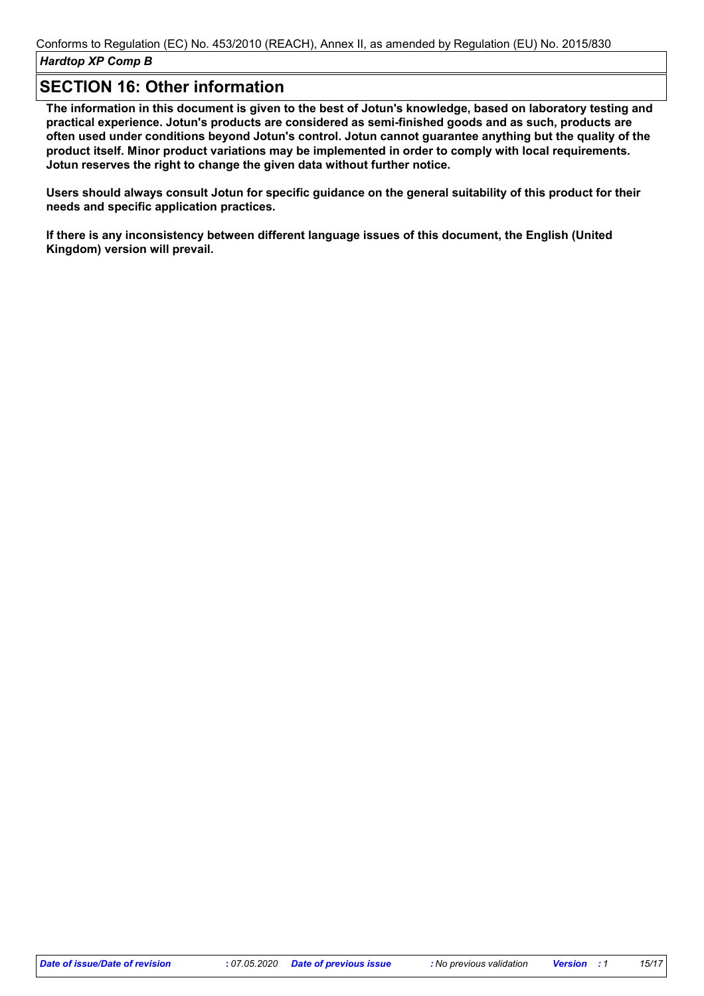### **SECTION 16: Other information**

**The information in this document is given to the best of Jotun's knowledge, based on laboratory testing and practical experience. Jotun's products are considered as semi-finished goods and as such, products are often used under conditions beyond Jotun's control. Jotun cannot guarantee anything but the quality of the product itself. Minor product variations may be implemented in order to comply with local requirements. Jotun reserves the right to change the given data without further notice.**

**Users should always consult Jotun for specific guidance on the general suitability of this product for their needs and specific application practices.**

**If there is any inconsistency between different language issues of this document, the English (United Kingdom) version will prevail.**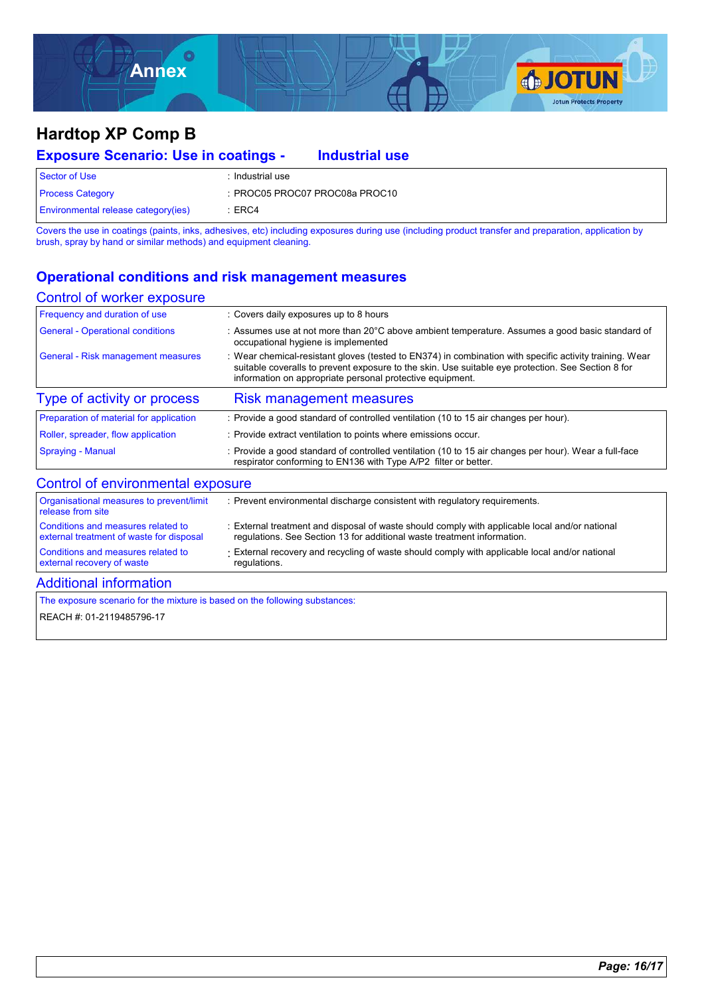

### **Hardtop XP Comp B**

| <b>Exposure Scenario: Use in coatings -</b> |                  | <b>Industrial use</b>          |  |
|---------------------------------------------|------------------|--------------------------------|--|
| Sector of Use                               | : Industrial use |                                |  |
| <b>Process Category</b>                     |                  | : PROC05 PROC07 PROC08a PROC10 |  |
| <b>Environmental release category (ies)</b> | $\pm$ ERC4       |                                |  |

Covers the use in coatings (paints, inks, adhesives, etc) including exposures during use (including product transfer and preparation, application by brush, spray by hand or similar methods) and equipment cleaning.

### **Operational conditions and risk management measures**

#### Control of worker exposure

| Frequency and duration of use            | : Covers daily exposures up to 8 hours                                                                                                                                                                                                                                     |
|------------------------------------------|----------------------------------------------------------------------------------------------------------------------------------------------------------------------------------------------------------------------------------------------------------------------------|
| <b>General - Operational conditions</b>  | : Assumes use at not more than 20 $\degree$ C above ambient temperature. Assumes a good basic standard of<br>occupational hygiene is implemented                                                                                                                           |
| General - Risk management measures       | : Wear chemical-resistant gloves (tested to EN374) in combination with specific activity training. Wear<br>suitable coveralls to prevent exposure to the skin. Use suitable eye protection. See Section 8 for<br>information on appropriate personal protective equipment. |
| Type of activity or process              | <b>Risk management measures</b>                                                                                                                                                                                                                                            |
| Preparation of material for application  | : Provide a good standard of controlled ventilation (10 to 15 air changes per hour).                                                                                                                                                                                       |
| Roller, spreader, flow application       | : Provide extract ventilation to points where emissions occur.                                                                                                                                                                                                             |
| <b>Spraying - Manual</b>                 | : Provide a good standard of controlled ventilation (10 to 15 air changes per hour). Wear a full-face<br>respirator conforming to EN136 with Type A/P2 filter or better.                                                                                                   |
| Control of environmental exposure        |                                                                                                                                                                                                                                                                            |
| Organisational measures to prevent/limit | : Prevent environmental discharge consistent with regulatory requirements.                                                                                                                                                                                                 |

| Organisational measures to prevent/limit<br>release from site | : Prevent environmental discharge consistent with regulatory requirements.                     |
|---------------------------------------------------------------|------------------------------------------------------------------------------------------------|
| Conditions and measures related to                            | : External treatment and disposal of waste should comply with applicable local and/or national |
| external treatment of waste for disposal                      | regulations. See Section 13 for additional waste treatment information.                        |
| Conditions and measures related to                            | External recovery and recycling of waste should comply with applicable local and/or national   |
| external recovery of waste                                    | regulations.                                                                                   |

### Additional information

The exposure scenario for the mixture is based on the following substances:

REACH #: 01-2119485796-17